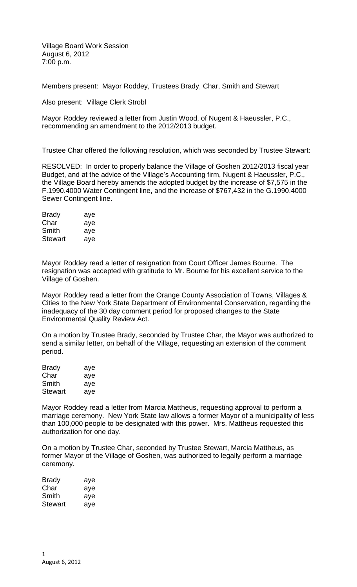Village Board Work Session August 6, 2012 7:00 p.m.

Members present: Mayor Roddey, Trustees Brady, Char, Smith and Stewart

Also present: Village Clerk Strobl

Mayor Roddey reviewed a letter from Justin Wood, of Nugent & Haeussler, P.C., recommending an amendment to the 2012/2013 budget.

Trustee Char offered the following resolution, which was seconded by Trustee Stewart:

RESOLVED: In order to properly balance the Village of Goshen 2012/2013 fiscal year Budget, and at the advice of the Village's Accounting firm, Nugent & Haeussler, P.C., the Village Board hereby amends the adopted budget by the increase of \$7,575 in the F.1990.4000 Water Contingent line, and the increase of \$767,432 in the G.1990.4000 Sewer Contingent line.

| Brady          | aye |
|----------------|-----|
| Char           | aye |
| Smith          | aye |
| <b>Stewart</b> | ave |

Mayor Roddey read a letter of resignation from Court Officer James Bourne. The resignation was accepted with gratitude to Mr. Bourne for his excellent service to the Village of Goshen.

Mayor Roddey read a letter from the Orange County Association of Towns, Villages & Cities to the New York State Department of Environmental Conservation, regarding the inadequacy of the 30 day comment period for proposed changes to the State Environmental Quality Review Act.

On a motion by Trustee Brady, seconded by Trustee Char, the Mayor was authorized to send a similar letter, on behalf of the Village, requesting an extension of the comment period.

| <b>Brady</b>   | aye |
|----------------|-----|
| Char           | aye |
| Smith          | aye |
| <b>Stewart</b> | aye |

Mayor Roddey read a letter from Marcia Mattheus, requesting approval to perform a marriage ceremony. New York State law allows a former Mayor of a municipality of less than 100,000 people to be designated with this power. Mrs. Mattheus requested this authorization for one day.

On a motion by Trustee Char, seconded by Trustee Stewart, Marcia Mattheus, as former Mayor of the Village of Goshen, was authorized to legally perform a marriage ceremony.

| Brady   | aye |
|---------|-----|
| Char    | aye |
| Smith   | aye |
| Stewart | aye |